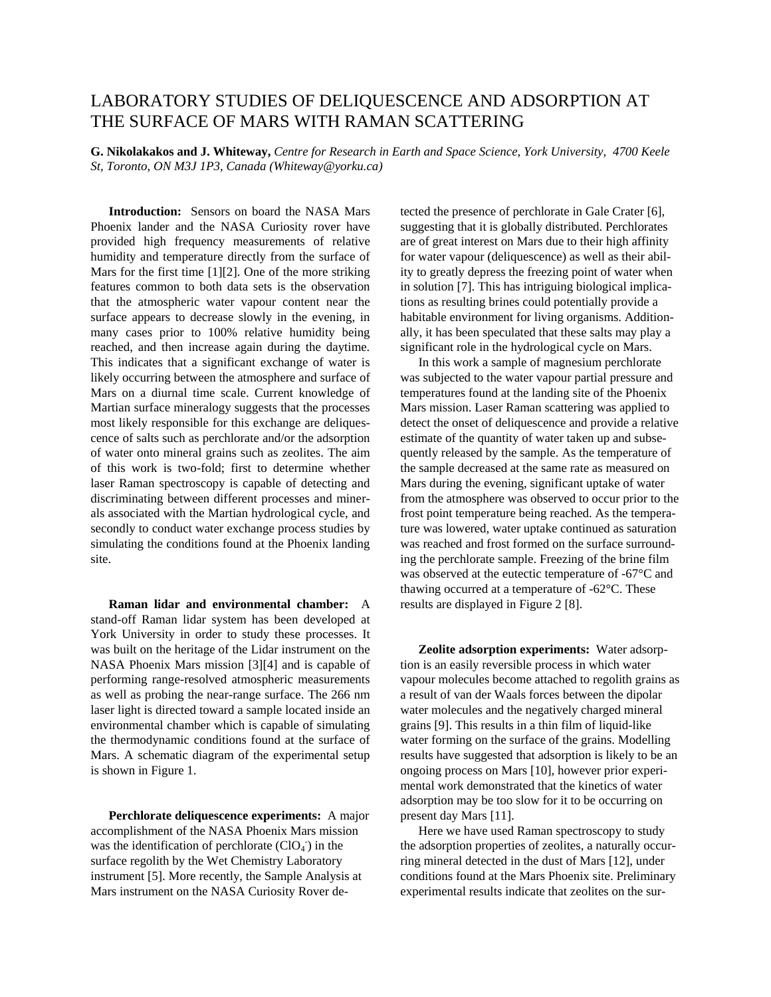## LABORATORY STUDIES OF DELIQUESCENCE AND ADSORPTION AT THE SURFACE OF MARS WITH RAMAN SCATTERING

**G. Nikolakakos and J. Whiteway,** *Centre for Research in Earth and Space Science, York University, 4700 Keele St, Toronto, ON M3J 1P3, Canada (Whiteway@yorku.ca)*

**Introduction:** Sensors on board the NASA Mars Phoenix lander and the NASA Curiosity rover have provided high frequency measurements of relative humidity and temperature directly from the surface of Mars for the first time [1][2]. One of the more striking features common to both data sets is the observation that the atmospheric water vapour content near the surface appears to decrease slowly in the evening, in many cases prior to 100% relative humidity being reached, and then increase again during the daytime. This indicates that a significant exchange of water is likely occurring between the atmosphere and surface of Mars on a diurnal time scale. Current knowledge of Martian surface mineralogy suggests that the processes most likely responsible for this exchange are deliquescence of salts such as perchlorate and/or the adsorption of water onto mineral grains such as zeolites. The aim of this work is two-fold; first to determine whether laser Raman spectroscopy is capable of detecting and discriminating between different processes and minerals associated with the Martian hydrological cycle, and secondly to conduct water exchange process studies by simulating the conditions found at the Phoenix landing site.

**Raman lidar and environmental chamber:** A stand-off Raman lidar system has been developed at York University in order to study these processes. It was built on the heritage of the Lidar instrument on the NASA Phoenix Mars mission [3][4] and is capable of performing range-resolved atmospheric measurements as well as probing the near-range surface. The 266 nm laser light is directed toward a sample located inside an environmental chamber which is capable of simulating the thermodynamic conditions found at the surface of Mars. A schematic diagram of the experimental setup is shown in Figure 1.

**Perchlorate deliquescence experiments:** A major accomplishment of the NASA Phoenix Mars mission was the identification of perchlorate  $(CIO<sub>4</sub>)$  in the surface regolith by the Wet Chemistry Laboratory instrument [5]. More recently, the Sample Analysis at Mars instrument on the NASA Curiosity Rover detected the presence of perchlorate in Gale Crater [6], suggesting that it is globally distributed. Perchlorates are of great interest on Mars due to their high affinity for water vapour (deliquescence) as well as their ability to greatly depress the freezing point of water when in solution [7]. This has intriguing biological implications as resulting brines could potentially provide a habitable environment for living organisms. Additionally, it has been speculated that these salts may play a significant role in the hydrological cycle on Mars.

In this work a sample of magnesium perchlorate was subjected to the water vapour partial pressure and temperatures found at the landing site of the Phoenix Mars mission. Laser Raman scattering was applied to detect the onset of deliquescence and provide a relative estimate of the quantity of water taken up and subsequently released by the sample. As the temperature of the sample decreased at the same rate as measured on Mars during the evening, significant uptake of water from the atmosphere was observed to occur prior to the frost point temperature being reached. As the temperature was lowered, water uptake continued as saturation was reached and frost formed on the surface surrounding the perchlorate sample. Freezing of the brine film was observed at the eutectic temperature of -67°C and thawing occurred at a temperature of -62°C. These results are displayed in Figure 2 [8].

**Zeolite adsorption experiments:** Water adsorption is an easily reversible process in which water vapour molecules become attached to regolith grains as a result of van der Waals forces between the dipolar water molecules and the negatively charged mineral grains [9]. This results in a thin film of liquid-like water forming on the surface of the grains. Modelling results have suggested that adsorption is likely to be an ongoing process on Mars [10], however prior experimental work demonstrated that the kinetics of water adsorption may be too slow for it to be occurring on present day Mars [11].

Here we have used Raman spectroscopy to study the adsorption properties of zeolites, a naturally occurring mineral detected in the dust of Mars [12], under conditions found at the Mars Phoenix site. Preliminary experimental results indicate that zeolites on the sur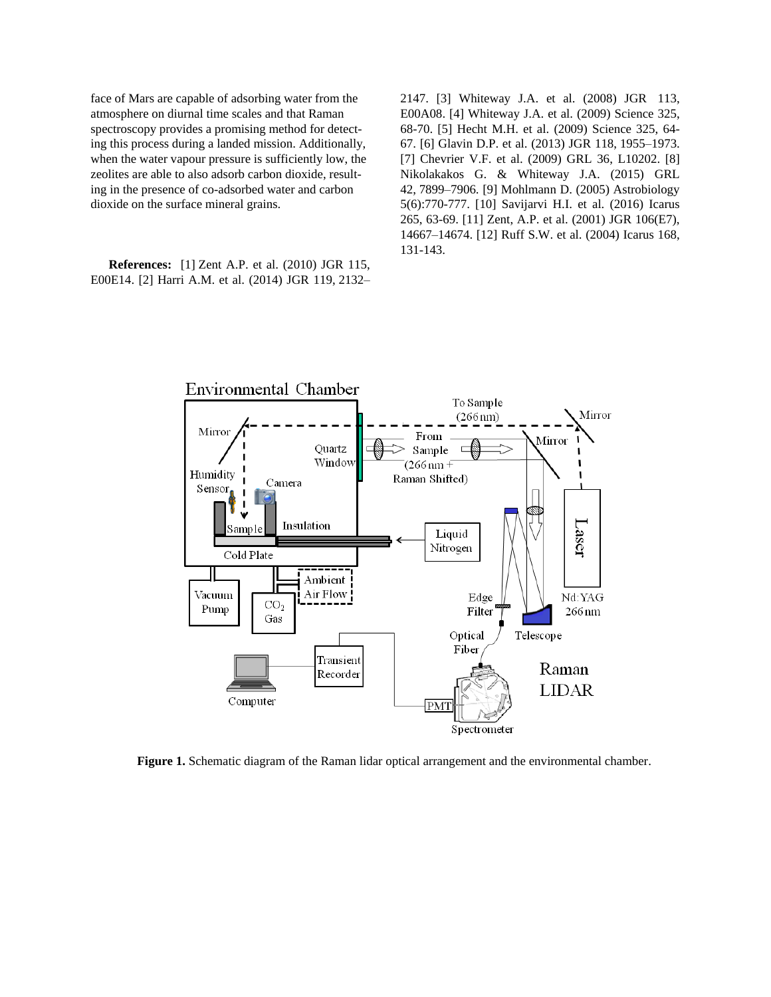face of Mars are capable of adsorbing water from the atmosphere on diurnal time scales and that Raman spectroscopy provides a promising method for detecting this process during a landed mission. Additionally, when the water vapour pressure is sufficiently low, the zeolites are able to also adsorb carbon dioxide, resulting in the presence of co-adsorbed water and carbon dioxide on the surface mineral grains.

**References:** [1] Zent A.P. et al. (2010) JGR 115, E00E14. [2] Harri A.M. et al. (2014) JGR 119, 2132– 2147. [3] Whiteway J.A. et al. (2008) JGR 113, E00A08. [4] Whiteway J.A. et al. (2009) Science 325, 68-70. [5] Hecht M.H. et al. (2009) Science 325, 64- 67. [6] Glavin D.P. et al. (2013) JGR 118, 1955–1973. [7] Chevrier V.F. et al. (2009) GRL 36, L10202. [8] Nikolakakos G. & Whiteway J.A. (2015) GRL 42, 7899–7906. [9] Mohlmann D. (2005) Astrobiology 5(6):770-777. [10] Savijarvi H.I. et al. (2016) Icarus 265, 63-69. [11] Zent, A.P. et al. (2001) JGR 106(E7), 14667–14674. [12] Ruff S.W. et al. (2004) Icarus 168, 131-143.



**Figure 1.** Schematic diagram of the Raman lidar optical arrangement and the environmental chamber.